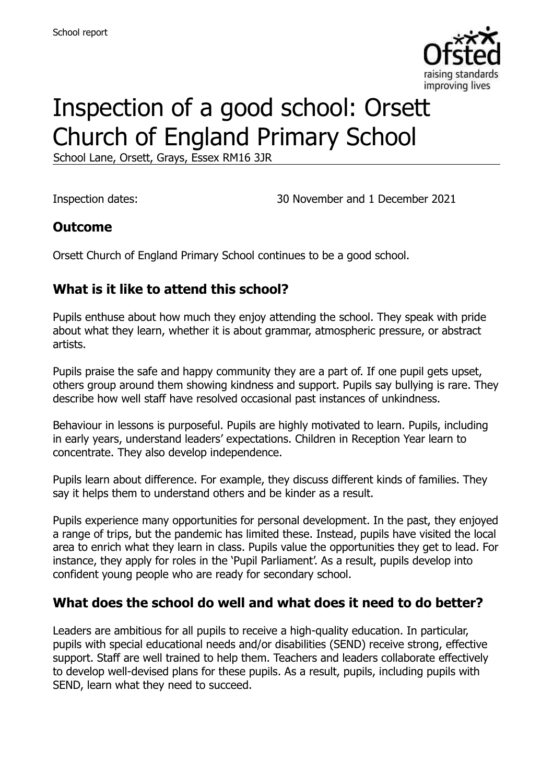

# Inspection of a good school: Orsett Church of England Primary School

School Lane, Orsett, Grays, Essex RM16 3JR

Inspection dates: 30 November and 1 December 2021

#### **Outcome**

Orsett Church of England Primary School continues to be a good school.

# **What is it like to attend this school?**

Pupils enthuse about how much they enjoy attending the school. They speak with pride about what they learn, whether it is about grammar, atmospheric pressure, or abstract artists.

Pupils praise the safe and happy community they are a part of. If one pupil gets upset, others group around them showing kindness and support. Pupils say bullying is rare. They describe how well staff have resolved occasional past instances of unkindness.

Behaviour in lessons is purposeful. Pupils are highly motivated to learn. Pupils, including in early years, understand leaders' expectations. Children in Reception Year learn to concentrate. They also develop independence.

Pupils learn about difference. For example, they discuss different kinds of families. They say it helps them to understand others and be kinder as a result.

Pupils experience many opportunities for personal development. In the past, they enjoyed a range of trips, but the pandemic has limited these. Instead, pupils have visited the local area to enrich what they learn in class. Pupils value the opportunities they get to lead. For instance, they apply for roles in the 'Pupil Parliament'. As a result, pupils develop into confident young people who are ready for secondary school.

### **What does the school do well and what does it need to do better?**

Leaders are ambitious for all pupils to receive a high-quality education. In particular, pupils with special educational needs and/or disabilities (SEND) receive strong, effective support. Staff are well trained to help them. Teachers and leaders collaborate effectively to develop well-devised plans for these pupils. As a result, pupils, including pupils with SEND, learn what they need to succeed.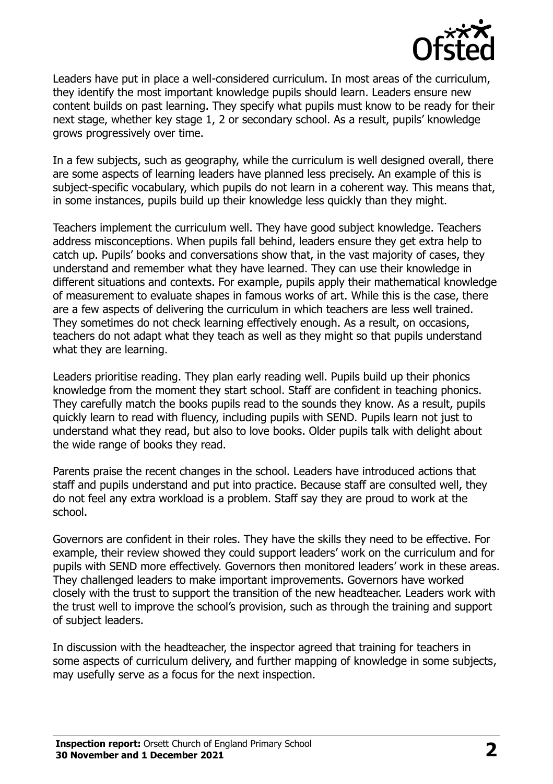

Leaders have put in place a well-considered curriculum. In most areas of the curriculum, they identify the most important knowledge pupils should learn. Leaders ensure new content builds on past learning. They specify what pupils must know to be ready for their next stage, whether key stage 1, 2 or secondary school. As a result, pupils' knowledge grows progressively over time.

In a few subjects, such as geography, while the curriculum is well designed overall, there are some aspects of learning leaders have planned less precisely. An example of this is subject-specific vocabulary, which pupils do not learn in a coherent way. This means that, in some instances, pupils build up their knowledge less quickly than they might.

Teachers implement the curriculum well. They have good subject knowledge. Teachers address misconceptions. When pupils fall behind, leaders ensure they get extra help to catch up. Pupils' books and conversations show that, in the vast majority of cases, they understand and remember what they have learned. They can use their knowledge in different situations and contexts. For example, pupils apply their mathematical knowledge of measurement to evaluate shapes in famous works of art. While this is the case, there are a few aspects of delivering the curriculum in which teachers are less well trained. They sometimes do not check learning effectively enough. As a result, on occasions, teachers do not adapt what they teach as well as they might so that pupils understand what they are learning.

Leaders prioritise reading. They plan early reading well. Pupils build up their phonics knowledge from the moment they start school. Staff are confident in teaching phonics. They carefully match the books pupils read to the sounds they know. As a result, pupils quickly learn to read with fluency, including pupils with SEND. Pupils learn not just to understand what they read, but also to love books. Older pupils talk with delight about the wide range of books they read.

Parents praise the recent changes in the school. Leaders have introduced actions that staff and pupils understand and put into practice. Because staff are consulted well, they do not feel any extra workload is a problem. Staff say they are proud to work at the school.

Governors are confident in their roles. They have the skills they need to be effective. For example, their review showed they could support leaders' work on the curriculum and for pupils with SEND more effectively. Governors then monitored leaders' work in these areas. They challenged leaders to make important improvements. Governors have worked closely with the trust to support the transition of the new headteacher. Leaders work with the trust well to improve the school's provision, such as through the training and support of subject leaders.

In discussion with the headteacher, the inspector agreed that training for teachers in some aspects of curriculum delivery, and further mapping of knowledge in some subjects, may usefully serve as a focus for the next inspection.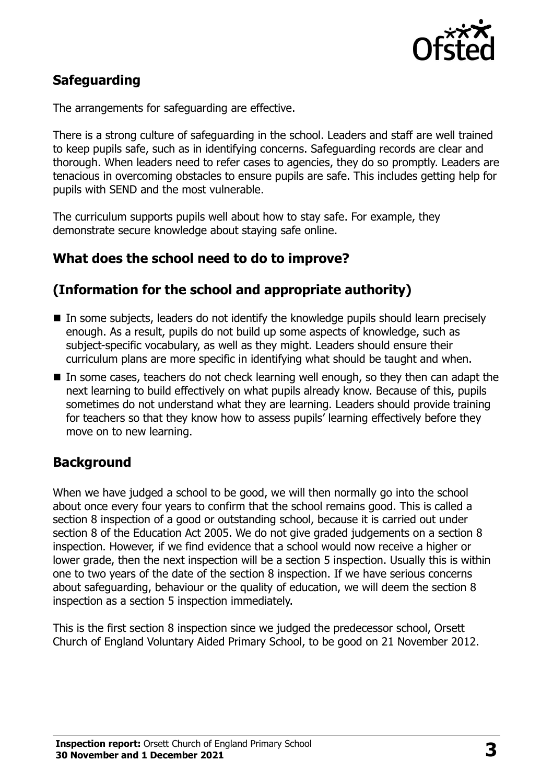

# **Safeguarding**

The arrangements for safeguarding are effective.

There is a strong culture of safeguarding in the school. Leaders and staff are well trained to keep pupils safe, such as in identifying concerns. Safeguarding records are clear and thorough. When leaders need to refer cases to agencies, they do so promptly. Leaders are tenacious in overcoming obstacles to ensure pupils are safe. This includes getting help for pupils with SEND and the most vulnerable.

The curriculum supports pupils well about how to stay safe. For example, they demonstrate secure knowledge about staying safe online.

### **What does the school need to do to improve?**

#### **(Information for the school and appropriate authority)**

- In some subjects, leaders do not identify the knowledge pupils should learn precisely enough. As a result, pupils do not build up some aspects of knowledge, such as subject-specific vocabulary, as well as they might. Leaders should ensure their curriculum plans are more specific in identifying what should be taught and when.
- In some cases, teachers do not check learning well enough, so they then can adapt the next learning to build effectively on what pupils already know. Because of this, pupils sometimes do not understand what they are learning. Leaders should provide training for teachers so that they know how to assess pupils' learning effectively before they move on to new learning.

### **Background**

When we have judged a school to be good, we will then normally go into the school about once every four years to confirm that the school remains good. This is called a section 8 inspection of a good or outstanding school, because it is carried out under section 8 of the Education Act 2005. We do not give graded judgements on a section 8 inspection. However, if we find evidence that a school would now receive a higher or lower grade, then the next inspection will be a section 5 inspection. Usually this is within one to two years of the date of the section 8 inspection. If we have serious concerns about safeguarding, behaviour or the quality of education, we will deem the section 8 inspection as a section 5 inspection immediately.

This is the first section 8 inspection since we judged the predecessor school, Orsett Church of England Voluntary Aided Primary School, to be good on 21 November 2012.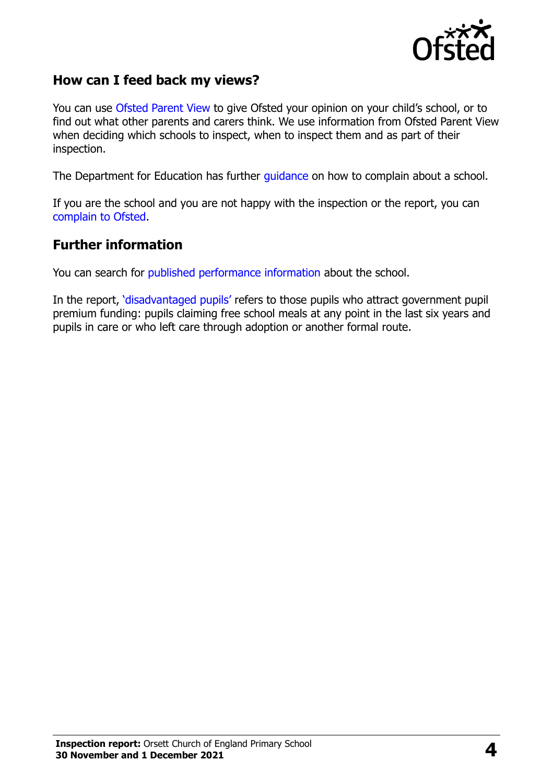

### **How can I feed back my views?**

You can use [Ofsted Parent View](https://parentview.ofsted.gov.uk/) to give Ofsted your opinion on your child's school, or to find out what other parents and carers think. We use information from Ofsted Parent View when deciding which schools to inspect, when to inspect them and as part of their inspection.

The Department for Education has further [guidance](http://www.gov.uk/complain-about-school) on how to complain about a school.

If you are the school and you are not happy with the inspection or the report, you can [complain to Ofsted.](https://www.gov.uk/complain-ofsted-report)

#### **Further information**

You can search for [published performance information](http://www.compare-school-performance.service.gov.uk/) about the school.

In the report, '[disadvantaged pupils](http://www.gov.uk/guidance/pupil-premium-information-for-schools-and-alternative-provision-settings)' refers to those pupils who attract government pupil premium funding: pupils claiming free school meals at any point in the last six years and pupils in care or who left care through adoption or another formal route.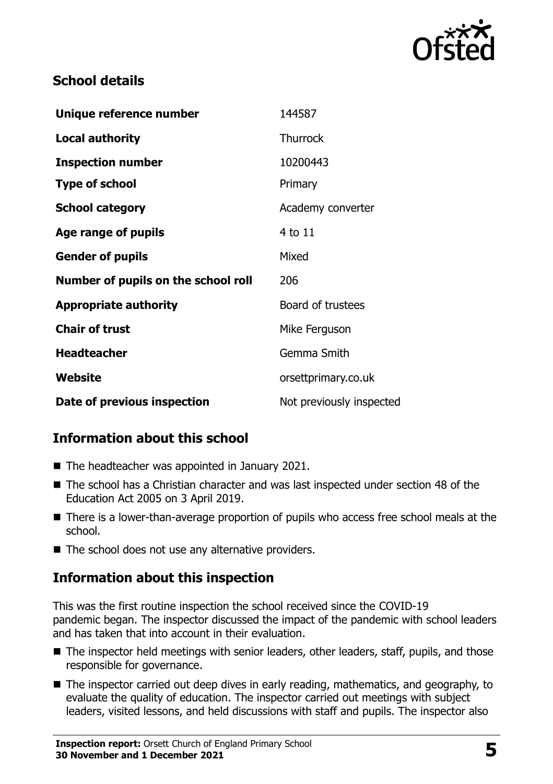

# **School details**

| Unique reference number             | 144587                   |
|-------------------------------------|--------------------------|
| <b>Local authority</b>              | <b>Thurrock</b>          |
| <b>Inspection number</b>            | 10200443                 |
| <b>Type of school</b>               | Primary                  |
| <b>School category</b>              | Academy converter        |
| Age range of pupils                 | 4 to 11                  |
| <b>Gender of pupils</b>             | Mixed                    |
| Number of pupils on the school roll | 206                      |
| <b>Appropriate authority</b>        | Board of trustees        |
| <b>Chair of trust</b>               | Mike Ferguson            |
| <b>Headteacher</b>                  | Gemma Smith              |
| Website                             | orsettprimary.co.uk      |
| Date of previous inspection         | Not previously inspected |

# **Information about this school**

- The headteacher was appointed in January 2021.
- The school has a Christian character and was last inspected under section 48 of the Education Act 2005 on 3 April 2019.
- There is a lower-than-average proportion of pupils who access free school meals at the school.
- $\blacksquare$  The school does not use any alternative providers.

# **Information about this inspection**

This was the first routine inspection the school received since the COVID-19 pandemic began. The inspector discussed the impact of the pandemic with school leaders and has taken that into account in their evaluation.

- The inspector held meetings with senior leaders, other leaders, staff, pupils, and those responsible for governance.
- The inspector carried out deep dives in early reading, mathematics, and geography, to evaluate the quality of education. The inspector carried out meetings with subject leaders, visited lessons, and held discussions with staff and pupils. The inspector also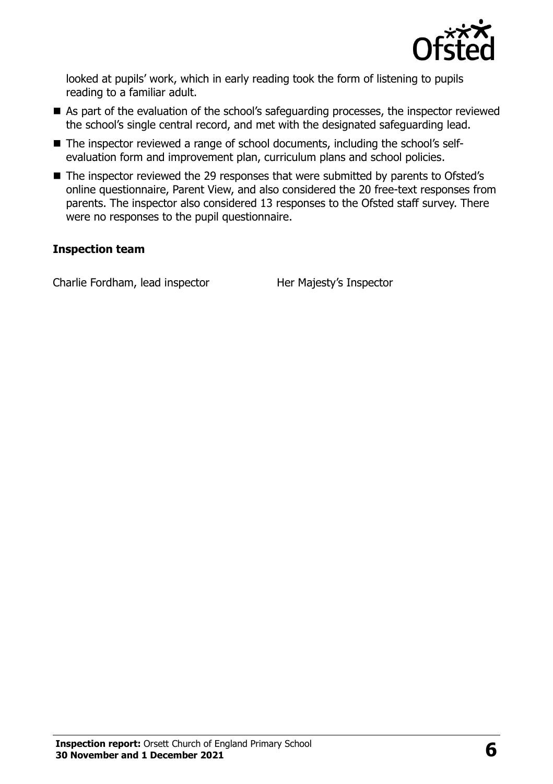

looked at pupils' work, which in early reading took the form of listening to pupils reading to a familiar adult.

- As part of the evaluation of the school's safeguarding processes, the inspector reviewed the school's single central record, and met with the designated safeguarding lead.
- The inspector reviewed a range of school documents, including the school's selfevaluation form and improvement plan, curriculum plans and school policies.
- The inspector reviewed the 29 responses that were submitted by parents to Ofsted's online questionnaire, Parent View, and also considered the 20 free-text responses from parents. The inspector also considered 13 responses to the Ofsted staff survey. There were no responses to the pupil questionnaire.

#### **Inspection team**

Charlie Fordham, lead inspector Her Majesty's Inspector